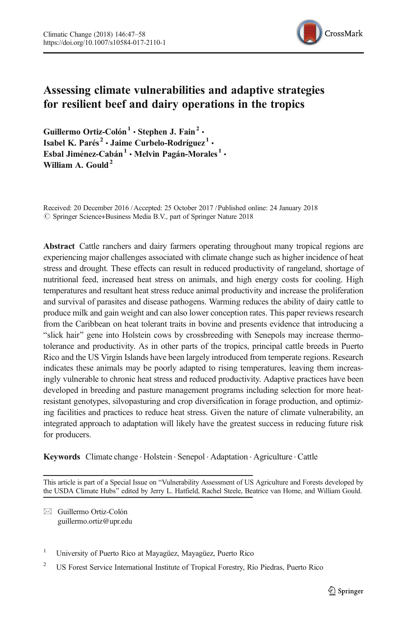

# Assessing climate vulnerabilities and adaptive strategies for resilient beef and dairy operations in the tropics

Guillermo Ortiz-Colón<sup>1</sup> • Stephen J. Fain<sup>2</sup> • Isabel K. Parés<sup>2</sup> • Jaime Curbelo-Rodríguez<sup>1</sup> • Esbal Jiménez-Cabán<sup>1</sup> • Melvin Pagán-Morales<sup>1</sup> • William A. Gould<sup>2</sup>

Received: 20 December 2016 /Accepted: 25 October 2017 /Published online: 24 January 2018 © Springer Science+Business Media B.V., part of Springer Nature 2018

Abstract Cattle ranchers and dairy farmers operating throughout many tropical regions are experiencing major challenges associated with climate change such as higher incidence of heat stress and drought. These effects can result in reduced productivity of rangeland, shortage of nutritional feed, increased heat stress on animals, and high energy costs for cooling. High temperatures and resultant heat stress reduce animal productivity and increase the proliferation and survival of parasites and disease pathogens. Warming reduces the ability of dairy cattle to produce milk and gain weight and can also lower conception rates. This paper reviews research from the Caribbean on heat tolerant traits in bovine and presents evidence that introducing a "slick hair" gene into Holstein cows by crossbreeding with Senepols may increase thermotolerance and productivity. As in other parts of the tropics, principal cattle breeds in Puerto Rico and the US Virgin Islands have been largely introduced from temperate regions. Research indicates these animals may be poorly adapted to rising temperatures, leaving them increasingly vulnerable to chronic heat stress and reduced productivity. Adaptive practices have been developed in breeding and pasture management programs including selection for more heatresistant genotypes, silvopasturing and crop diversification in forage production, and optimizing facilities and practices to reduce heat stress. Given the nature of climate vulnerability, an integrated approach to adaptation will likely have the greatest success in reducing future risk for producers.

Keywords Climate change · Holstein · Senepol · Adaptation · Agriculture · Cattle

This article is part of a Special Issue on "Vulnerability Assessment of US Agriculture and Forests developed by the USDA Climate Hubs" edited by Jerry L. Hatfield, Rachel Steele, Beatrice van Horne, and William Gould.

 $\boxtimes$  Guillermo Ortiz-Colón [guillermo.ortiz@upr.edu](mailto:guillermo.ortiz@upr.edu)

<sup>1</sup> University of Puerto Rico at Mayagüez, Mayagüez, Puerto Rico

<sup>2</sup> US Forest Service International Institute of Tropical Forestry, Río Piedras, Puerto Rico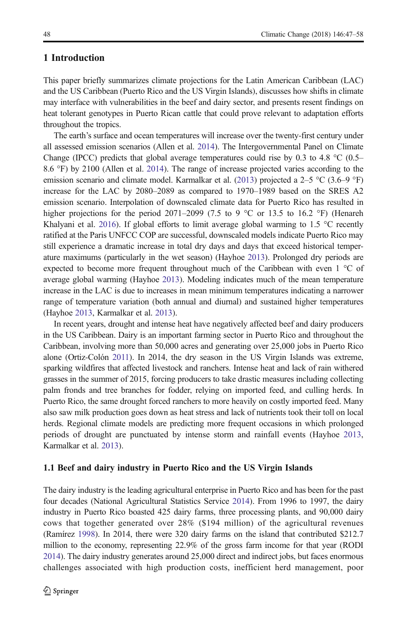## 1 Introduction

This paper briefly summarizes climate projections for the Latin American Caribbean (LAC) and the US Caribbean (Puerto Rico and the US Virgin Islands), discusses how shifts in climate may interface with vulnerabilities in the beef and dairy sector, and presents resent findings on heat tolerant genotypes in Puerto Rican cattle that could prove relevant to adaptation efforts throughout the tropics.

The earth's surface and ocean temperatures will increase over the twenty-first century under all assessed emission scenarios (Allen et al. [2014\)](#page-10-0). The Intergovernmental Panel on Climate Change (IPCC) predicts that global average temperatures could rise by 0.3 to 4.8  $^{\circ}$ C (0.5– 8.6 °F) by 2100 (Allen et al. [2014](#page-10-0)). The range of increase projected varies according to the emission scenario and climate model. Karmalkar et al. [\(2013\)](#page-10-0) projected a 2–5 °C (3.6–9 °F) increase for the LAC by 2080–2089 as compared to 1970–1989 based on the SRES A2 emission scenario. Interpolation of downscaled climate data for Puerto Rico has resulted in higher projections for the period 2071–2099 (7.5 to 9  $^{\circ}$ C or 13.5 to 16.2  $^{\circ}$ F) (Henareh Khalyani et al. [2016](#page-10-0)). If global efforts to limit average global warming to 1.5  $\degree$ C recently ratified at the Paris UNFCC COP are successful, downscaled models indicate Puerto Rico may still experience a dramatic increase in total dry days and days that exceed historical temperature maximums (particularly in the wet season) (Hayhoe [2013](#page-10-0)). Prolonged dry periods are expected to become more frequent throughout much of the Caribbean with even 1 °C of average global warming (Hayhoe [2013\)](#page-10-0). Modeling indicates much of the mean temperature increase in the LAC is due to increases in mean minimum temperatures indicating a narrower range of temperature variation (both annual and diurnal) and sustained higher temperatures (Hayhoe [2013,](#page-10-0) Karmalkar et al. [2013](#page-10-0)).

In recent years, drought and intense heat have negatively affected beef and dairy producers in the US Caribbean. Dairy is an important farming sector in Puerto Rico and throughout the Caribbean, involving more than 50,000 acres and generating over 25,000 jobs in Puerto Rico alone (Ortiz-Colón [2011\)](#page-11-0). In 2014, the dry season in the US Virgin Islands was extreme, sparking wildfires that affected livestock and ranchers. Intense heat and lack of rain withered grasses in the summer of 2015, forcing producers to take drastic measures including collecting palm fronds and tree branches for fodder, relying on imported feed, and culling herds. In Puerto Rico, the same drought forced ranchers to more heavily on costly imported feed. Many also saw milk production goes down as heat stress and lack of nutrients took their toll on local herds. Regional climate models are predicting more frequent occasions in which prolonged periods of drought are punctuated by intense storm and rainfall events (Hayhoe [2013](#page-10-0), Karmalkar et al. [2013](#page-10-0)).

#### 1.1 Beef and dairy industry in Puerto Rico and the US Virgin Islands

The dairy industry is the leading agricultural enterprise in Puerto Rico and has been for the past four decades (National Agricultural Statistics Service [2014\)](#page-11-0). From 1996 to 1997, the dairy industry in Puerto Rico boasted 425 dairy farms, three processing plants, and 90,000 dairy cows that together generated over 28% (\$194 million) of the agricultural revenues (Ramírez [1998\)](#page-11-0). In 2014, there were 320 dairy farms on the island that contributed \$212.7 million to the economy, representing 22.9% of the gross farm income for that year (RODI [2014](#page-11-0)). The dairy industry generates around 25,000 direct and indirect jobs, but faces enormous challenges associated with high production costs, inefficient herd management, poor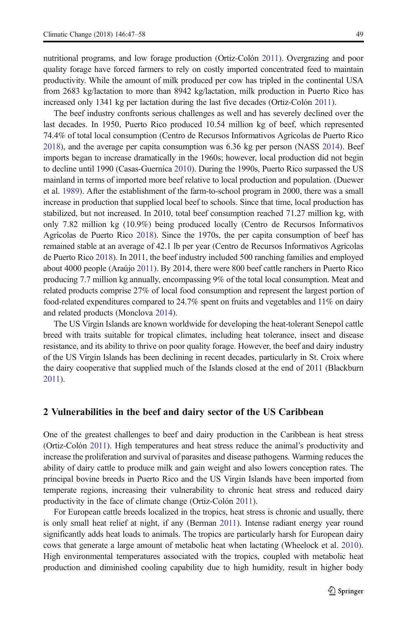nutritional programs, and low forage production (Ortiz-Colón [2011](#page-11-0)). Overgrazing and poor quality forage have forced farmers to rely on costly imported concentrated feed to maintain productivity. While the amount of milk produced per cow has tripled in the continental USA from 2683 kg/lactation to more than 8942 kg/lactation, milk production in Puerto Rico has increased only 1341 kg per lactation during the last five decades (Ortiz-Colón [2011](#page-11-0)).

The beef industry confronts serious challenges as well and has severely declined over the last decades. In 1950, Puerto Rico produced 10.54 million kg of beef, which represented 74.4% of total local consumption (Centro de Recursos Informativos Agrícolas de Puerto Rico [2018](#page-10-0)), and the average per capita consumption was 6.36 kg per person (NASS [2014\)](#page-11-0). Beef imports began to increase dramatically in the 1960s; however, local production did not begin to decline until 1990 (Casas-Guerníca [2010\)](#page-10-0). During the 1990s, Puerto Rico surpassed the US mainland in terms of imported more beef relative to local production and population. (Duewer et al. [1989\)](#page-10-0). After the establishment of the farm-to-school program in 2000, there was a small increase in production that supplied local beef to schools. Since that time, local production has stabilized, but not increased. In 2010, total beef consumption reached 71.27 million kg, with only 7.82 million kg (10.9%) being produced locally (Centro de Recursos Informativos Agrícolas de Puerto Rico [2018\)](#page-10-0). Since the 1970s, the per capita consumption of beef has remained stable at an average of 42.1 lb per year (Centro de Recursos Informativos Agrícolas de Puerto Rico [2018\)](#page-10-0). In 2011, the beef industry included 500 ranching families and employed about 4000 people (Araújo [2011](#page-10-0)). By 2014, there were 800 beef cattle ranchers in Puerto Rico producing 7.7 million kg annually, encompassing 9% of the total local consumption. Meat and related products comprise 27% of local food consumption and represent the largest portion of food-related expenditures compared to 24.7% spent on fruits and vegetables and 11% on dairy and related products (Monclova [2014](#page-10-0)).

The US Virgin Islands are known worldwide for developing the heat-tolerant Senepol cattle breed with traits suitable for tropical climates, including heat tolerance, insect and disease resistance, and its ability to thrive on poor quality forage. However, the beef and dairy industry of the US Virgin Islands has been declining in recent decades, particularly in St. Croix where the dairy cooperative that supplied much of the Islands closed at the end of 2011 (Blackburn [2011\)](#page-10-0).

## 2 Vulnerabilities in the beef and dairy sector of the US Caribbean

One of the greatest challenges to beef and dairy production in the Caribbean is heat stress (Ortiz-Colón [2011](#page-11-0)). High temperatures and heat stress reduce the animal's productivity and increase the proliferation and survival of parasites and disease pathogens. Warming reduces the ability of dairy cattle to produce milk and gain weight and also lowers conception rates. The principal bovine breeds in Puerto Rico and the US Virgin Islands have been imported from temperate regions, increasing their vulnerability to chronic heat stress and reduced dairy productivity in the face of climate change (Ortiz-Colón [2011](#page-11-0)).

For European cattle breeds localized in the tropics, heat stress is chronic and usually, there is only small heat relief at night, if any (Berman [2011\)](#page-10-0). Intense radiant energy year round significantly adds heat loads to animals. The tropics are particularly harsh for European dairy cows that generate a large amount of metabolic heat when lactating (Wheelock et al. [2010](#page-11-0)). High environmental temperatures associated with the tropics, coupled with metabolic heat production and diminished cooling capability due to high humidity, result in higher body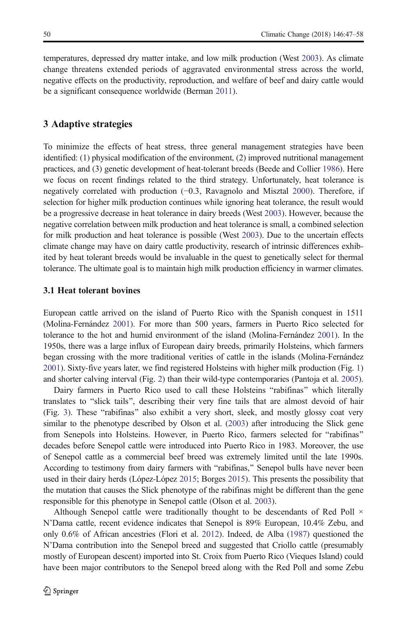temperatures, depressed dry matter intake, and low milk production (West [2003](#page-11-0)). As climate change threatens extended periods of aggravated environmental stress across the world, negative effects on the productivity, reproduction, and welfare of beef and dairy cattle would be a significant consequence worldwide (Berman [2011](#page-10-0)).

## 3 Adaptive strategies

To minimize the effects of heat stress, three general management strategies have been identified: (1) physical modification of the environment, (2) improved nutritional management practices, and (3) genetic development of heat-tolerant breeds (Beede and Collier [1986\)](#page-10-0). Here we focus on recent findings related to the third strategy. Unfortunately, heat tolerance is negatively correlated with production (−0.3, Ravagnolo and Misztal [2000\)](#page-11-0). Therefore, if selection for higher milk production continues while ignoring heat tolerance, the result would be a progressive decrease in heat tolerance in dairy breeds (West [2003](#page-11-0)). However, because the negative correlation between milk production and heat tolerance is small, a combined selection for milk production and heat tolerance is possible (West [2003\)](#page-11-0). Due to the uncertain effects climate change may have on dairy cattle productivity, research of intrinsic differences exhibited by heat tolerant breeds would be invaluable in the quest to genetically select for thermal tolerance. The ultimate goal is to maintain high milk production efficiency in warmer climates.

#### 3.1 Heat tolerant bovines

European cattle arrived on the island of Puerto Rico with the Spanish conquest in 1511 (Molina-Fernández [2001\)](#page-10-0). For more than 500 years, farmers in Puerto Rico selected for tolerance to the hot and humid environment of the island (Molina-Fernández [2001\)](#page-10-0). In the 1950s, there was a large influx of European dairy breeds, primarily Holsteins, which farmers began crossing with the more traditional verities of cattle in the islands (Molina-Fernández [2001](#page-10-0)). Sixty-five years later, we find registered Holsteins with higher milk production (Fig. [1\)](#page-4-0) and shorter calving interval (Fig. [2](#page-5-0)) than their wild-type contemporaries (Pantoja et al. [2005](#page-11-0)).

Dairy farmers in Puerto Rico used to call these Holsteins "rabifinas" which literally translates to "slick tails", describing their very fine tails that are almost devoid of hair (Fig. [3](#page-5-0)). These "rabifinas" also exhibit a very short, sleek, and mostly glossy coat very similar to the phenotype described by Olson et al. ([2003](#page-11-0)) after introducing the Slick gene from Senepols into Holsteins. However, in Puerto Rico, farmers selected for "rabifinas" decades before Senepol cattle were introduced into Puerto Rico in 1983. Moreover, the use of Senepol cattle as a commercial beef breed was extremely limited until the late 1990s. According to testimony from dairy farmers with "rabifinas," Senepol bulls have never been used in their dairy herds (López-López [2015](#page-10-0); Borges [2015\)](#page-10-0). This presents the possibility that the mutation that causes the Slick phenotype of the rabifinas might be different than the gene responsible for this phenotype in Senepol cattle (Olson et al. [2003\)](#page-11-0).

Although Senepol cattle were traditionally thought to be descendants of Red Poll × N'Dama cattle, recent evidence indicates that Senepol is 89% European, 10.4% Zebu, and only 0.6% of African ancestries (Flori et al. [2012\)](#page-10-0). Indeed, de Alba [\(1987](#page-10-0)) questioned the N'Dama contribution into the Senepol breed and suggested that Criollo cattle (presumably mostly of European descent) imported into St. Croix from Puerto Rico (Vieques Island) could have been major contributors to the Senepol breed along with the Red Poll and some Zebu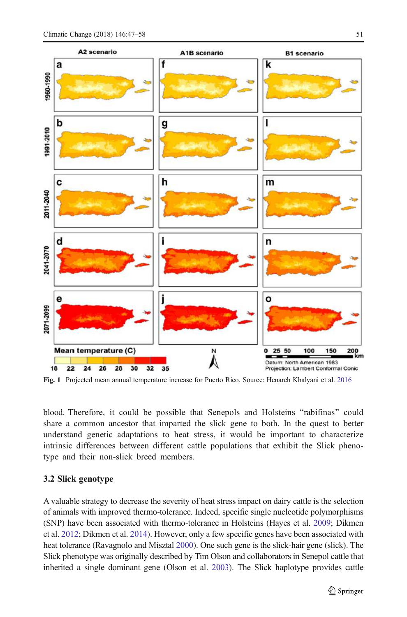<span id="page-4-0"></span>

Fig. 1 Projected mean annual temperature increase for Puerto Rico. Source: Henareh Khalyani et al. [2016](#page-10-0)

blood. Therefore, it could be possible that Senepols and Holsteins "rabifinas" could share a common ancestor that imparted the slick gene to both. In the quest to better understand genetic adaptations to heat stress, it would be important to characterize intrinsic differences between different cattle populations that exhibit the Slick phenotype and their non-slick breed members.

### 3.2 Slick genotype

A valuable strategy to decrease the severity of heat stress impact on dairy cattle is the selection of animals with improved thermo-tolerance. Indeed, specific single nucleotide polymorphisms (SNP) have been associated with thermo-tolerance in Holsteins (Hayes et al. [2009](#page-10-0); Dikmen et al. [2012;](#page-10-0) Dikmen et al. [2014](#page-10-0)). However, only a few specific genes have been associated with heat tolerance (Ravagnolo and Misztal [2000\)](#page-11-0). One such gene is the slick-hair gene (slick). The Slick phenotype was originally described by Tim Olson and collaborators in Senepol cattle that inherited a single dominant gene (Olson et al. [2003](#page-11-0)). The Slick haplotype provides cattle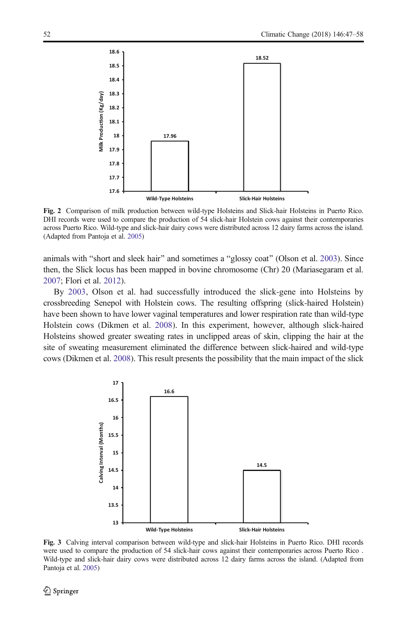<span id="page-5-0"></span>

Fig. 2 Comparison of milk production between wild-type Holsteins and Slick-hair Holsteins in Puerto Rico. DHI records were used to compare the production of 54 slick-hair Holstein cows against their contemporaries across Puerto Rico. Wild-type and slick-hair dairy cows were distributed across 12 dairy farms across the island. (Adapted from Pantoja et al. [2005](#page-11-0))

animals with "short and sleek hair" and sometimes a "glossy coat" (Olson et al. [2003](#page-11-0)). Since then, the Slick locus has been mapped in bovine chromosome (Chr) 20 (Mariasegaram et al. [2007](#page-10-0); Flori et al. [2012\)](#page-10-0).

By [2003,](#page-11-0) Olson et al. had successfully introduced the slick-gene into Holsteins by crossbreeding Senepol with Holstein cows. The resulting offspring (slick-haired Holstein) have been shown to have lower vaginal temperatures and lower respiration rate than wild-type Holstein cows (Dikmen et al. [2008](#page-10-0)). In this experiment, however, although slick-haired Holsteins showed greater sweating rates in unclipped areas of skin, clipping the hair at the site of sweating measurement eliminated the difference between slick-haired and wild-type cows (Dikmen et al. [2008](#page-10-0)). This result presents the possibility that the main impact of the slick



Fig. 3 Calving interval comparison between wild-type and slick-hair Holsteins in Puerto Rico. DHI records were used to compare the production of 54 slick-hair cows against their contemporaries across Puerto Rico . Wild-type and slick-hair dairy cows were distributed across 12 dairy farms across the island. (Adapted from Pantoja et al. [2005](#page-11-0))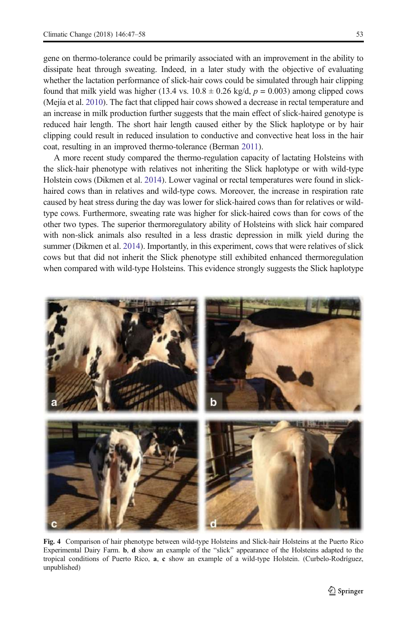<span id="page-6-0"></span>gene on thermo-tolerance could be primarily associated with an improvement in the ability to dissipate heat through sweating. Indeed, in a later study with the objective of evaluating whether the lactation performance of slick-hair cows could be simulated through hair clipping found that milk yield was higher (13.4 vs.  $10.8 \pm 0.26$  kg/d,  $p = 0.003$ ) among clipped cows (Mejía et al. [2010](#page-10-0)). The fact that clipped hair cows showed a decrease in rectal temperature and an increase in milk production further suggests that the main effect of slick-haired genotype is reduced hair length. The short hair length caused either by the Slick haplotype or by hair clipping could result in reduced insulation to conductive and convective heat loss in the hair coat, resulting in an improved thermo-tolerance (Berman [2011](#page-10-0)).

A more recent study compared the thermo-regulation capacity of lactating Holsteins with the slick-hair phenotype with relatives not inheriting the Slick haplotype or with wild-type Holstein cows (Dikmen et al. [2014\)](#page-10-0). Lower vaginal or rectal temperatures were found in slickhaired cows than in relatives and wild-type cows. Moreover, the increase in respiration rate caused by heat stress during the day was lower for slick-haired cows than for relatives or wildtype cows. Furthermore, sweating rate was higher for slick-haired cows than for cows of the other two types. The superior thermoregulatory ability of Holsteins with slick hair compared with non-slick animals also resulted in a less drastic depression in milk yield during the summer (Dikmen et al. [2014](#page-10-0)). Importantly, in this experiment, cows that were relatives of slick cows but that did not inherit the Slick phenotype still exhibited enhanced thermoregulation when compared with wild-type Holsteins. This evidence strongly suggests the Slick haplotype



Fig. 4 Comparison of hair phenotype between wild-type Holsteins and Slick-hair Holsteins at the Puerto Rico Experimental Dairy Farm. **b, d** show an example of the "slick" appearance of the Holsteins adapted to the tropical conditions of Puerto Rico, a, c show an example of a wild-type Holstein. (Curbelo-Rodríguez, unpublished)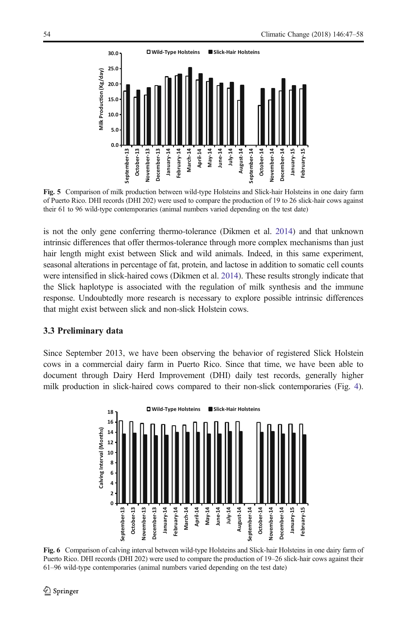<span id="page-7-0"></span>

Fig. 5 Comparison of milk production between wild-type Holsteins and Slick-hair Holsteins in one dairy farm of Puerto Rico. DHI records (DHI 202) were used to compare the production of 19 to 26 slick-hair cows against their 61 to 96 wild-type contemporaries (animal numbers varied depending on the test date)

is not the only gene conferring thermo-tolerance (Dikmen et al. [2014](#page-10-0)) and that unknown intrinsic differences that offer thermos-tolerance through more complex mechanisms than just hair length might exist between Slick and wild animals. Indeed, in this same experiment, seasonal alterations in percentage of fat, protein, and lactose in addition to somatic cell counts were intensified in slick-haired cows (Dikmen et al. [2014](#page-10-0)). These results strongly indicate that the Slick haplotype is associated with the regulation of milk synthesis and the immune response. Undoubtedly more research is necessary to explore possible intrinsic differences that might exist between slick and non-slick Holstein cows.

## 3.3 Preliminary data

Since September 2013, we have been observing the behavior of registered Slick Holstein cows in a commercial dairy farm in Puerto Rico. Since that time, we have been able to document through Dairy Herd Improvement (DHI) daily test records, generally higher milk production in slick-haired cows compared to their non-slick contemporaries (Fig. [4](#page-6-0)).



Fig. 6 Comparison of calving interval between wild-type Holsteins and Slick-hair Holsteins in one dairy farm of Puerto Rico. DHI records (DHI 202) were used to compare the production of 19–26 slick-hair cows against their 61–96 wild-type contemporaries (animal numbers varied depending on the test date)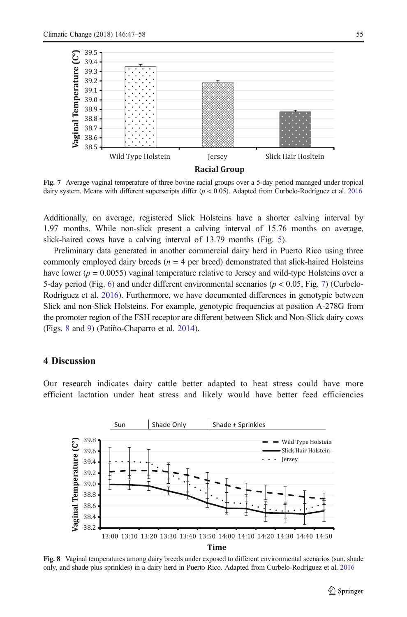

Fig. 7 Average vaginal temperature of three bovine racial groups over a 5-day period managed under tropical dairy system. Means with different superscripts differ (p < 0.05). Adapted from Curbelo-Rodríguez et al. [2016](#page-10-0)

Additionally, on average, registered Slick Holsteins have a shorter calving interval by 1.97 months. While non-slick present a calving interval of 15.76 months on average, slick-haired cows have a calving interval of 13.79 months (Fig. [5\)](#page-7-0).

Preliminary data generated in another commercial dairy herd in Puerto Rico using three commonly employed dairy breeds ( $n = 4$  per breed) demonstrated that slick-haired Holsteins have lower ( $p = 0.0055$ ) vaginal temperature relative to Jersey and wild-type Holsteins over a 5-day period (Fig. [6\)](#page-7-0) and under different environmental scenarios ( $p < 0.05$ , Fig. 7) (Curbelo-Rodríguez et al. [2016\)](#page-10-0). Furthermore, we have documented differences in genotypic between Slick and non-Slick Holsteins. For example, genotypic frequencies at position A-278G from the promoter region of the FSH receptor are different between Slick and Non-Slick dairy cows (Figs. 8 and [9\)](#page-9-0) (Patiño-Chaparro et al. [2014](#page-11-0)).

# 4 Discussion

Our research indicates dairy cattle better adapted to heat stress could have more efficient lactation under heat stress and likely would have better feed efficiencies



Fig. 8 Vaginal temperatures among dairy breeds under exposed to different environmental scenarios (sun, shade only, and shade plus sprinkles) in a dairy herd in Puerto Rico. Adapted from Curbelo-Rodríguez et al. [2016](#page-10-0)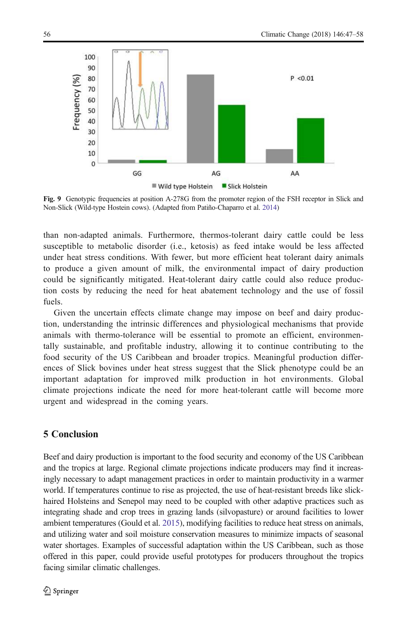<span id="page-9-0"></span>

Fig. 9 Genotypic frequencies at position A-278G from the promoter region of the FSH receptor in Slick and Non-Slick (Wild-type Hostein cows). (Adapted from Patiño-Chaparro et al. [2014](#page-11-0))

than non-adapted animals. Furthermore, thermos-tolerant dairy cattle could be less susceptible to metabolic disorder (i.e., ketosis) as feed intake would be less affected under heat stress conditions. With fewer, but more efficient heat tolerant dairy animals to produce a given amount of milk, the environmental impact of dairy production could be significantly mitigated. Heat-tolerant dairy cattle could also reduce production costs by reducing the need for heat abatement technology and the use of fossil fuels.

Given the uncertain effects climate change may impose on beef and dairy production, understanding the intrinsic differences and physiological mechanisms that provide animals with thermo-tolerance will be essential to promote an efficient, environmentally sustainable, and profitable industry, allowing it to continue contributing to the food security of the US Caribbean and broader tropics. Meaningful production differences of Slick bovines under heat stress suggest that the Slick phenotype could be an important adaptation for improved milk production in hot environments. Global climate projections indicate the need for more heat-tolerant cattle will become more urgent and widespread in the coming years.

## 5 Conclusion

Beef and dairy production is important to the food security and economy of the US Caribbean and the tropics at large. Regional climate projections indicate producers may find it increasingly necessary to adapt management practices in order to maintain productivity in a warmer world. If temperatures continue to rise as projected, the use of heat-resistant breeds like slickhaired Holsteins and Senepol may need to be coupled with other adaptive practices such as integrating shade and crop trees in grazing lands (silvopasture) or around facilities to lower ambient temperatures (Gould et al. [2015](#page-10-0)), modifying facilities to reduce heat stress on animals, and utilizing water and soil moisture conservation measures to minimize impacts of seasonal water shortages. Examples of successful adaptation within the US Caribbean, such as those offered in this paper, could provide useful prototypes for producers throughout the tropics facing similar climatic challenges.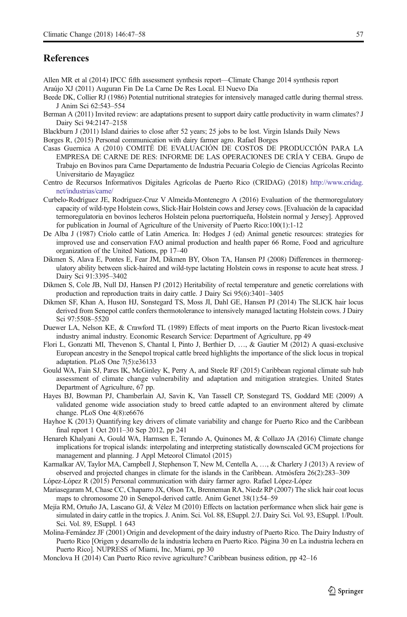## <span id="page-10-0"></span>References

- Allen MR et al (2014) IPCC fifth assessment synthesis report—Climate Change 2014 synthesis report Araújo XJ (2011) Auguran Fin De La Carne De Res Local. El Nuevo Día
- Beede DK, Collier RJ (1986) Potential nutritional strategies for intensively managed cattle during thermal stress. J Anim Sci 62:543–554
- Berman A (2011) Invited review: are adaptations present to support dairy cattle productivity in warm climates? J Dairy Sci 94:2147–2158

Blackburn J (2011) Island dairies to close after 52 years; 25 jobs to be lost. Virgin Islands Daily News

Borges R, (2015) Personal communication with dairy farmer agro. Rafael Borges

- Casas Guernica A (2010) COMITÉ DE EVALUACIÓN DE COSTOS DE PRODUCCIÓN PARA LA EMPRESA DE CARNE DE RES: INFORME DE LAS OPERACIONES DE CRÍA Y CEBA. Grupo de Trabajo en Bovinos para Carne Departamento de Industria Pecuaria Colegio de Ciencias Agrícolas Recinto Universitario de Mayagüez
- Centro de Recursos Informativos Digitales Agrícolas de Puerto Rico (CRIDAG) (2018) [http://www.cridag.](http://www.cridag.net/industrias/carne/) [net/industrias/carne/](http://www.cridag.net/industrias/carne/)
- Curbelo-Rodríguez JE, Rodríguez-Cruz V Almeida-Montenegro A (2016) Evaluation of the thermoregulatory capacity of wild-type Holstein cows, Slick-Hair Holstein cows and Jersey cows. [Evaluación de la capacidad termoregulatoria en bovinos lecheros Holstein pelona puertorriqueña, Holstein normal y Jersey]. Approved for publication in Journal of Agriculture of the University of Puerto Rico:100(1):1-12
- De Alba J (1987) Criolo cattle of Latin America. In: Hodges J (ed) Animal genetic resources: strategies for improved use and conservation FAO animal production and health paper 66 Rome, Food and agriculture organization of the United Nations, pp 17–40
- Dikmen S, Alava E, Pontes E, Fear JM, Dikmen BY, Olson TA, Hansen PJ (2008) Differences in thermoregulatory ability between slick-haired and wild-type lactating Holstein cows in response to acute heat stress. J Dairy Sci 91:3395–3402
- Dikmen S, Cole JB, Null DJ, Hansen PJ (2012) Heritability of rectal temperature and genetic correlations with production and reproduction traits in dairy cattle. J Dairy Sci 95(6):3401–3405
- Dikmen SF, Khan A, Huson HJ, Sonstegard TS, Moss JI, Dahl GE, Hansen PJ (2014) The SLICK hair locus derived from Senepol cattle confers thermotolerance to intensively managed lactating Holstein cows. J Dairy Sci 97:5508–5520
- Duewer LA, Nelson KE, & Crawford TL (1989) Effects of meat imports on the Puerto Rican livestock-meat industry animal industry. Economic Research Service: Department of Agriculture, pp 49
- Flori L, Gonzatti MI, Thevenon S, Chantal I, Pinto J, Berthier D, …, & Gautier M (2012) A quasi-exclusive European ancestry in the Senepol tropical cattle breed highlights the importance of the slick locus in tropical adaptation. PLoS One 7(5):e36133
- Gould WA, Fain SJ, Pares IK, McGinley K, Perry A, and Steele RF (2015) Caribbean regional climate sub hub assessment of climate change vulnerability and adaptation and mitigation strategies. United States Department of Agriculture, 67 pp.
- Hayes BJ, Bowman PJ, Chamberlain AJ, Savin K, Van Tassell CP, Sonstegard TS, Goddard ME (2009) A validated genome wide association study to breed cattle adapted to an environment altered by climate change. PLoS One 4(8):e6676
- Hayhoe K (2013) Quantifying key drivers of climate variability and change for Puerto Rico and the Caribbean final report 1 Oct 2011–30 Sep 2012, pp 241
- Henareh Khalyani A, Gould WA, Harmsen E, Terando A, Quinones M, & Collazo JA (2016) Climate change implications for tropical islands: interpolating and interpreting statistically downscaled GCM projections for management and planning. J Appl Meteorol Climatol (2015)
- Karmalkar AV, Taylor MA, Campbell J, Stephenson T, New M, Centella A, …, & Charlery J (2013) A review of observed and projected changes in climate for the islands in the Caribbean. Atmósfera 26(2):283–309
- López-López R (2015) Personal communication with dairy farmer agro. Rafael López-López
- Mariasegaram M, Chase CC, Chaparro JX, Olson TA, Brenneman RA, Niedz RP (2007) The slick hair coat locus maps to chromosome 20 in Senepol-derived cattle. Anim Genet 38(1):54–59
- Mejía RM, Ortuño JA, Lascano GJ, & Vélez M (2010) Effects on lactation performance when slick hair gene is simulated in dairy cattle in the tropics. J. Anim. Sci. Vol. 88, ESuppl. 2/J. Dairy Sci. Vol. 93, ESuppl. 1/Poult. Sci. Vol. 89, ESuppl. 1 643
- Molina-Fernández JF (2001) Origin and development of the dairy industry of Puerto Rico. The Dairy Industry of Puerto Rico [Origen y desarrollo de la industria lechera en Puerto Rico. Página 30 en La industria lechera en Puerto Rico]. NUPRESS of Miami, Inc, Miami, pp 30
- Monclova H (2014) Can Puerto Rico revive agriculture? Caribbean business edition, pp 42–16